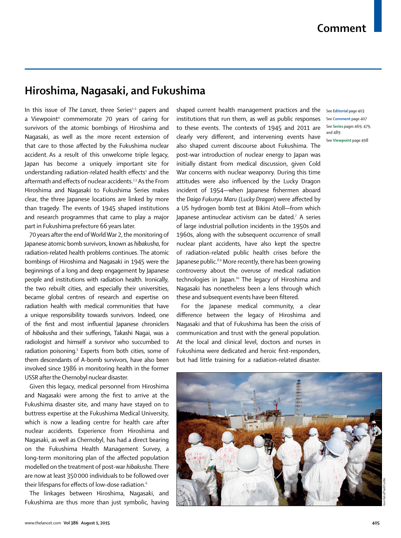## **Hiroshima, Nagasaki, and Fukushima**

In this issue of *The Lancet*, three Series<sup>1-3</sup> papers and a Viewpoint4 commemorate 70 years of caring for survivors of the atomic bombings of Hiroshima and Nagasaki, as well as the more recent extension of that care to those affected by the Fukushima nuclear accident. As a result of this unwelcome triple legacy, Japan has become a uniquely important site for understanding radiation-related health effects $^{\scriptscriptstyle 1}$  and the aftermath and effects of nuclear accidents.<sup>2,3</sup> As the From Hiroshima and Nagasaki to Fukushima Series makes clear, the three Japanese locations are linked by more than tragedy. The events of 1945 shaped institutions and research programmes that came to play a major part in Fukushima prefecture 66 years later.

70 years after the end of World War 2, the monitoring of Japanese atomic bomb survivors, known as *hibakusha*, for radiation-related health problems continues. The atomic bombings of Hiroshima and Nagasaki in 1945 were the beginnings of a long and deep engagement by Japanese people and institutions with radiation health. Ironically, the two rebuilt cities, and especially their universities, became global centres of research and expertise on radiation health with medical communities that have a unique responsibility towards survivors. Indeed, one of the first and most influential Japanese chroniclers of *hibakusha* and their sufferings, Takashi Nagai, was a radiologist and himself a survivor who succumbed to radiation poisoning.5 Experts from both cities, some of them descendants of A-bomb survivors, have also been involved since 1986 in monitoring health in the former USSR after the Chernobyl nuclear disaster.

Given this legacy, medical personnel from Hiroshima and Nagasaki were among the first to arrive at the Fukushima disaster site, and many have stayed on to buttress expertise at the Fukushima Medical University, which is now a leading centre for health care after nuclear accidents. Experience from Hiroshima and Nagasaki, as well as Chernobyl, has had a direct bearing on the Fukushima Health Management Survey, a long-term monitoring plan of the affected population modelled on the treatment of post-war *hibakusha*. There are now at least 350 000 individuals to be followed over their lifespans for effects of low-dose radiation.<sup>6</sup>

The linkages between Hiroshima, Nagasaki, and Fukushima are thus more than just symbolic, having

shaped current health management practices and the See **Editorial** page 403 institutions that run them, as well as public responses to these events. The contexts of 1945 and 2011 are clearly very different, and intervening events have also shaped current discourse about Fukushima. The post-war introduction of nuclear energy to Japan was initially distant from medical discussion, given Cold War concerns with nuclear weaponry. During this time attitudes were also influenced by the Lucky Dragon incident of 1954—when Japanese fishermen aboard the *Daigo Fukuryu Maru* (Lucky Dragon) were affected by a US hydrogen bomb test at Bikini Atoll—from which Japanese antinuclear activism can be dated.7 A series of large industrial pollution incidents in the 1950s and 1960s, along with the subsequent occurrence of small nuclear plant accidents, have also kept the spectre of radiation-related public health crises before the Japanese public.<sup>8,9</sup> More recently, there has been growing controversy about the overuse of medical radiation technologies in Japan.<sup>10</sup> The legacy of Hiroshima and Nagasaki has nonetheless been a lens through which these and subsequent events have been filtered.

For the Japanese medical community, a clear difference between the legacy of Hiroshima and Nagasaki and that of Fukushima has been the crisis of communication and trust with the general population. At the local and clinical level, doctors and nurses in Fukushima were dedicated and heroic first-responders, but had little training for a radiation-related disaster.